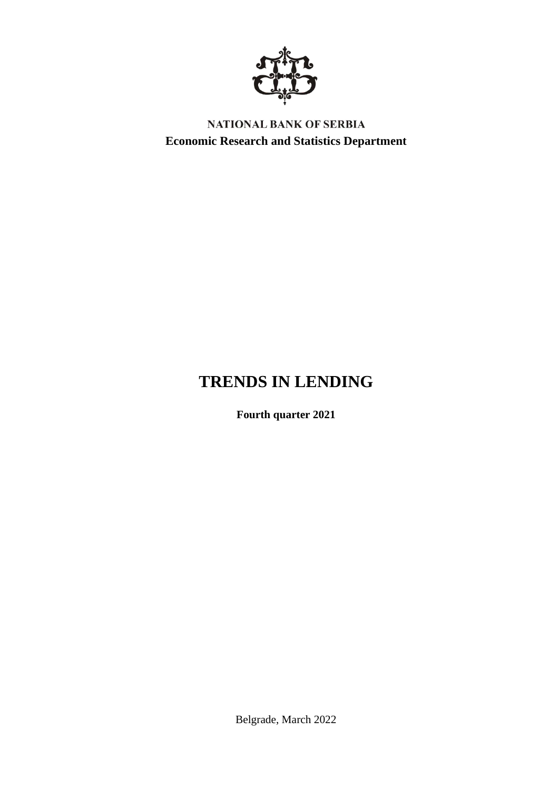

NATIONAL BANK OF SERBIA **Economic Research and Statistics Department**

# **TRENDS IN LENDING**

**Fourth quarter 2021**

Belgrade, March 2022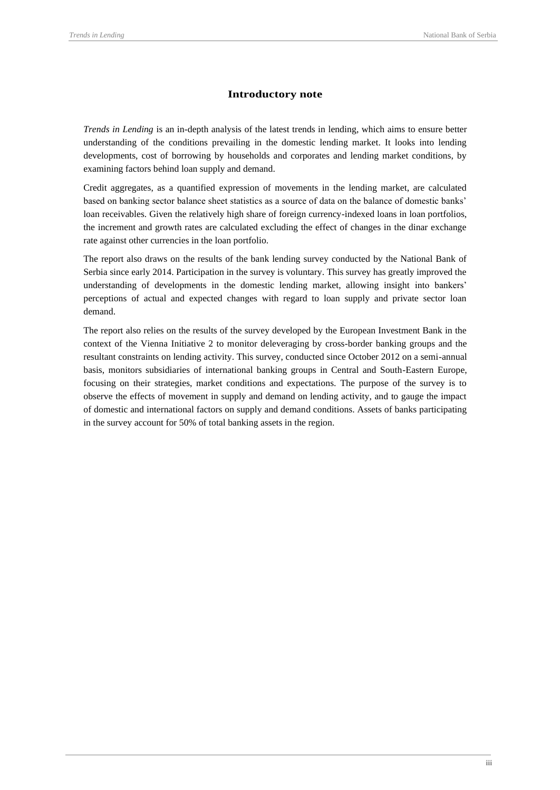### **Introductory note**

*Trends in Lending* is an in-depth analysis of the latest trends in lending, which aims to ensure better understanding of the conditions prevailing in the domestic lending market. It looks into lending developments, cost of borrowing by households and corporates and lending market conditions, by examining factors behind loan supply and demand.

Credit aggregates, as a quantified expression of movements in the lending market, are calculated based on banking sector balance sheet statistics as a source of data on the balance of domestic banks' loan receivables. Given the relatively high share of foreign currency-indexed loans in loan portfolios, the increment and growth rates are calculated excluding the effect of changes in the dinar exchange rate against other currencies in the loan portfolio.

The report also draws on the results of the bank lending survey conducted by the National Bank of Serbia since early 2014. Participation in the survey is voluntary. This survey has greatly improved the understanding of developments in the domestic lending market, allowing insight into bankers' perceptions of actual and expected changes with regard to loan supply and private sector loan demand.

The report also relies on the results of the survey developed by the European Investment Bank in the context of the Vienna Initiative 2 to monitor deleveraging by cross-border banking groups and the resultant constraints on lending activity. This survey, conducted since October 2012 on a semi-annual basis, monitors subsidiaries of international banking groups in Central and South-Eastern Europe, focusing on their strategies, market conditions and expectations. The purpose of the survey is to observe the effects of movement in supply and demand on lending activity, and to gauge the impact of domestic and international factors on supply and demand conditions. Assets of banks participating in the survey account for 50% of total banking assets in the region.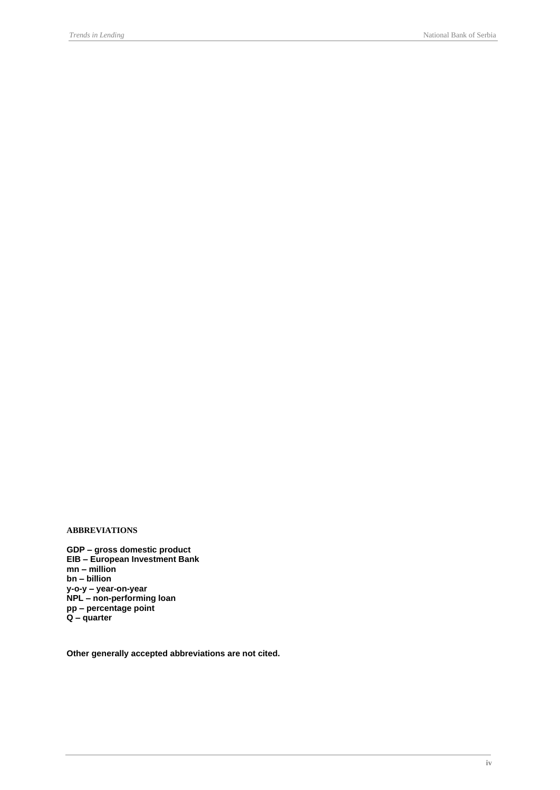### **ABBREVIATIONS**

**GDP – gross domestic product EIB – European Investment Bank mn – million bn – billion y-o-y – year-on-year NPL – non-performing loan pp – percentage point Q – quarter**

**Other generally accepted abbreviations are not cited.**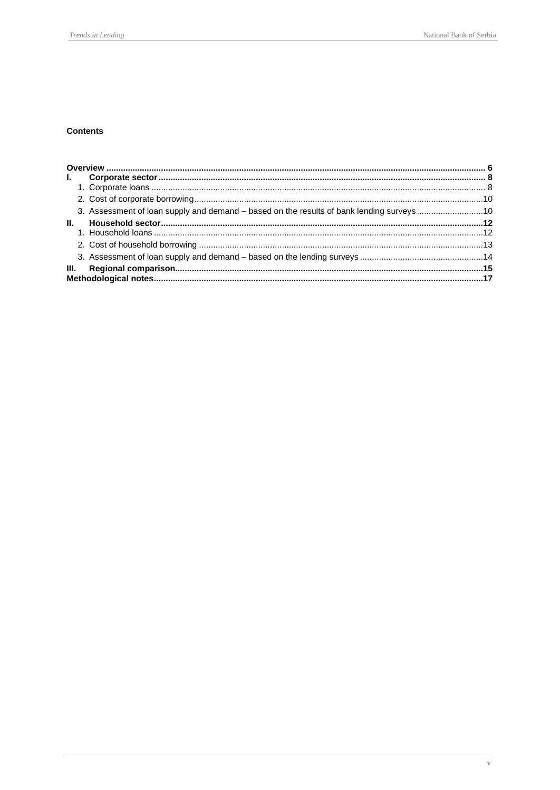### **Contents**

| $\mathbf{L}$ |                                                                                          |  |
|--------------|------------------------------------------------------------------------------------------|--|
|              |                                                                                          |  |
|              |                                                                                          |  |
|              | 3. Assessment of loan supply and demand – based on the results of bank lending surveys10 |  |
| Ш.           |                                                                                          |  |
|              |                                                                                          |  |
|              |                                                                                          |  |
|              |                                                                                          |  |
| III.         |                                                                                          |  |
|              |                                                                                          |  |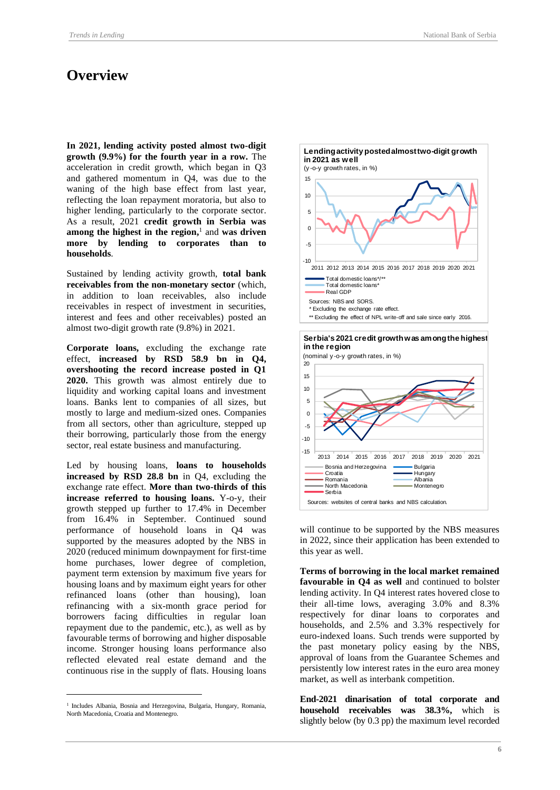## <span id="page-5-0"></span>**Overview**

**In 2021, lending activity posted almost two-digit growth (9.9%) for the fourth year in a row.** The acceleration in credit growth, which began in Q3 and gathered momentum in Q4, was due to the waning of the high base effect from last year, reflecting the loan repayment moratoria, but also to higher lending, particularly to the corporate sector. As a result, 2021 **credit growth in Serbia was among the highest in the region,** 1 and **was driven more by lending to corporates than to households**.

Sustained by lending activity growth, **total bank receivables from the non-monetary sector** (which, in addition to loan receivables, also include receivables in respect of investment in securities, interest and fees and other receivables) posted an almost two-digit growth rate (9.8%) in 2021.

**Corporate loans,** excluding the exchange rate effect, **increased by RSD 58.9 bn in Q4, overshooting the record increase posted in Q1 2020.** This growth was almost entirely due to liquidity and working capital loans and investment loans. Banks lent to companies of all sizes, but mostly to large and medium-sized ones. Companies from all sectors, other than agriculture, stepped up their borrowing, particularly those from the energy sector, real estate business and manufacturing.

Led by housing loans, **loans to households increased by RSD 28.8 bn** in Q4, excluding the exchange rate effect. **More than two-thirds of this increase referred to housing loans.** Y-o-y, their growth stepped up further to 17.4% in December from 16.4% in September. Continued sound performance of household loans in Q4 was supported by the measures adopted by the NBS in 2020 (reduced minimum downpayment for first-time home purchases, lower degree of completion, payment term extension by maximum five years for housing loans and by maximum eight years for other refinanced loans (other than housing), loan refinancing with a six-month grace period for borrowers facing difficulties in regular loan repayment due to the pandemic, etc.), as well as by favourable terms of borrowing and higher disposable income. Stronger housing loans performance also reflected elevated real estate demand and the continuous rise in the supply of flats. Housing loans







will continue to be supported by the NBS measures in 2022, since their application has been extended to this year as well.

**Terms of borrowing in the local market remained favourable in Q4 as well** and continued to bolster lending activity. In Q4 interest rates hovered close to their all-time lows, averaging 3.0% and 8.3% respectively for dinar loans to corporates and households, and 2.5% and 3.3% respectively for euro-indexed loans. Such trends were supported by the past monetary policy easing by the NBS, approval of loans from the Guarantee Schemes and persistently low interest rates in the euro area money market, as well as interbank competition.

**End-2021 dinarisation of total corporate and household receivables was 38.3%,** which is slightly below (by 0.3 pp) the maximum level recorded

<sup>&</sup>lt;sup>1</sup> Includes Albania, Bosnia and Herzegovina, Bulgaria, Hungary, Romania, North Macedonia, Croatia and Montenegro.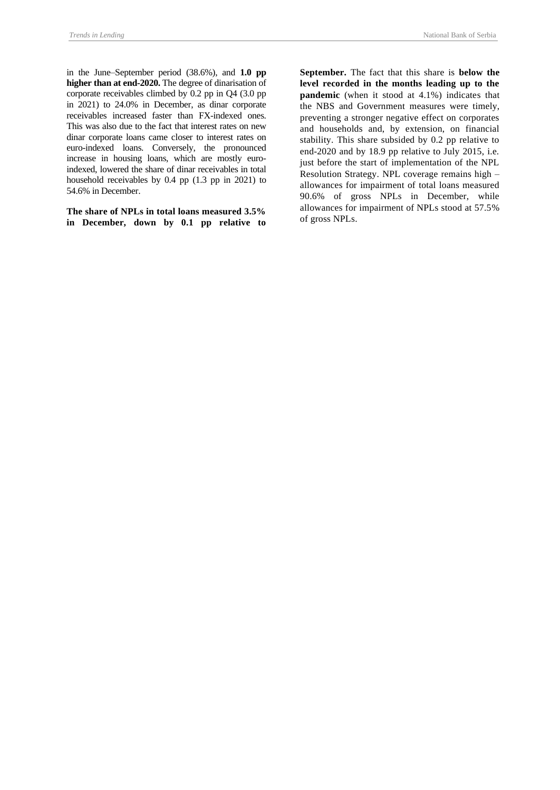in the June–September period (38.6%), and **1.0 pp higher than at end-2020.** The degree of dinarisation of corporate receivables climbed by 0.2 pp in Q4 (3.0 pp in 2021) to 24.0% in December, as dinar corporate receivables increased faster than FX-indexed ones. This was also due to the fact that interest rates on new dinar corporate loans came closer to interest rates on euro-indexed loans. Conversely, the pronounced increase in housing loans, which are mostly euroindexed, lowered the share of dinar receivables in total household receivables by 0.4 pp (1.3 pp in 2021) to 54.6% in December.

**The share of NPLs in total loans measured 3.5% in December, down by 0.1 pp relative to**  **September.** The fact that this share is **below the level recorded in the months leading up to the pandemic** (when it stood at 4.1%) indicates that the NBS and Government measures were timely, preventing a stronger negative effect on corporates and households and, by extension, on financial stability. This share subsided by 0.2 pp relative to end-2020 and by 18.9 pp relative to July 2015, i.e. just before the start of implementation of the NPL Resolution Strategy. NPL coverage remains high – allowances for impairment of total loans measured 90.6% of gross NPLs in December, while allowances for impairment of NPLs stood at 57.5% of gross NPLs.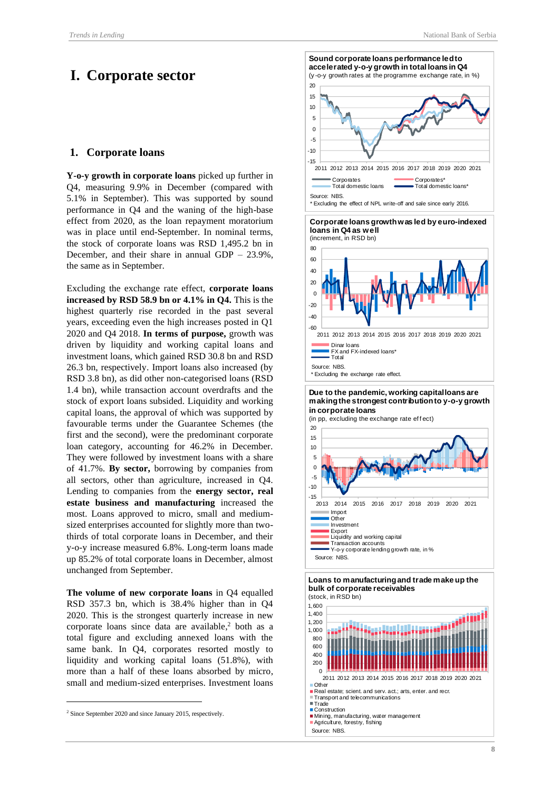## <span id="page-7-0"></span>**I. Corporate sector**

#### <span id="page-7-1"></span>**1. Corporate loans**

**Y-o-y growth in corporate loans** picked up further in Q4, measuring 9.9% in December (compared with 5.1% in September). This was supported by sound performance in Q4 and the waning of the high-base effect from 2020, as the loan repayment moratorium was in place until end-September. In nominal terms, the stock of corporate loans was RSD 1,495.2 bn in December, and their share in annual GDP – 23.9%, the same as in September.

Excluding the exchange rate effect, **corporate loans increased by RSD 58.9 bn or 4.1% in Q4.** This is the highest quarterly rise recorded in the past several years, exceeding even the high increases posted in Q1 2020 and Q4 2018. **In terms of purpose,** growth was driven by liquidity and working capital loans and investment loans, which gained RSD 30.8 bn and RSD 26.3 bn, respectively. Import loans also increased (by RSD 3.8 bn), as did other non-categorised loans (RSD 1.4 bn), while transaction account overdrafts and the stock of export loans subsided. Liquidity and working capital loans, the approval of which was supported by favourable terms under the Guarantee Schemes (the first and the second), were the predominant corporate loan category, accounting for 46.2% in December. They were followed by investment loans with a share of 41.7%. **By sector,** borrowing by companies from all sectors, other than agriculture, increased in Q4. Lending to companies from the **energy sector, real estate business and manufacturing** increased the most. Loans approved to micro, small and mediumsized enterprises accounted for slightly more than twothirds of total corporate loans in December, and their y-o-y increase measured 6.8%. Long-term loans made up 85.2% of total corporate loans in December, almost unchanged from September.

**The volume of new corporate loans** in Q4 equalled RSD 357.3 bn, which is 38.4% higher than in Q4 2020. This is the strongest quarterly increase in new corporate loans since data are available, <sup>2</sup> both as a total figure and excluding annexed loans with the same bank. In Q4, corporates resorted mostly to liquidity and working capital loans (51.8%), with more than a half of these loans absorbed by micro, small and medium-sized enterprises. Investment loans



Agriculture, forestry, fishing

Source: NBS

<sup>2</sup> Since September 2020 and since January 2015, respectively.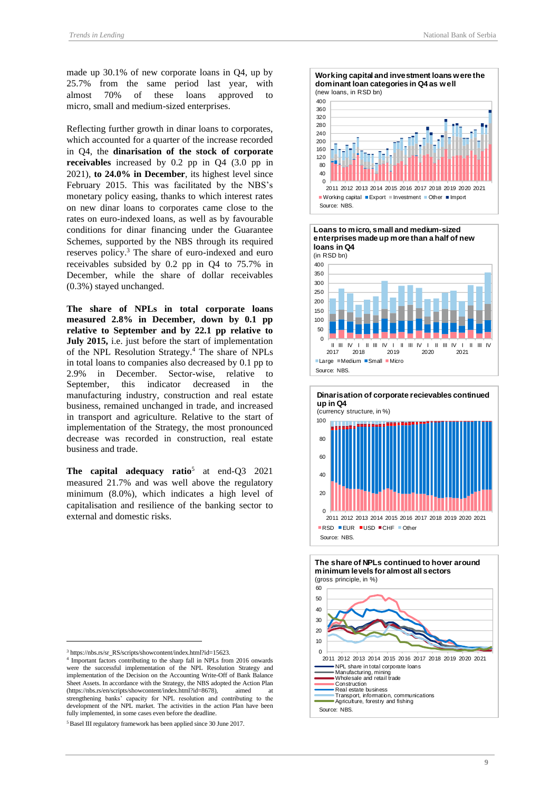made up 30.1% of new corporate loans in Q4, up by 25.7% from the same period last year, with almost 70% of these loans approved to micro, small and medium-sized enterprises.

Reflecting further growth in dinar loans to corporates, which accounted for a quarter of the increase recorded in Q4, the **dinarisation of the stock of corporate receivables** increased by 0.2 pp in Q4 (3.0 pp in 2021), **to 24.0% in December**, its highest level since February 2015. This was facilitated by the NBS's monetary policy easing, thanks to which interest rates on new dinar loans to corporates came close to the rates on euro-indexed loans, as well as by favourable conditions for dinar financing under the Guarantee Schemes, supported by the NBS through its required reserves policy. <sup>3</sup> The share of euro-indexed and euro receivables subsided by 0.2 pp in Q4 to 75.7% in December, while the share of dollar receivables (0.3%) stayed unchanged.

**The share of NPLs in total corporate loans measured 2.8% in December, down by 0.1 pp relative to September and by 22.1 pp relative to July 2015,** i.e. just before the start of implementation of the NPL Resolution Strategy.<sup>4</sup> The share of NPLs in total loans to companies also decreased by 0.1 pp to 2.9% in December. Sector-wise, relative to September, this indicator decreased in the manufacturing industry, construction and real estate business, remained unchanged in trade, and increased in transport and agriculture. Relative to the start of implementation of the Strategy, the most pronounced decrease was recorded in construction, real estate business and trade.

**The capital adequacy ratio**<sup>5</sup> at end-Q3 2021 measured 21.7% and was well above the regulatory minimum (8.0%), which indicates a high level of capitalisation and resilience of the banking sector to external and domestic risks.



<sup>4</sup> Important factors contributing to the sharp fall in NPLs from 2016 onwards were the successful implementation of the NPL Resolution Strategy and implementation of the Decision on the Accounting Write-Off of Bank Balance Sheet Assets. In accordance with the Strategy, the NBS adopted the Action Plan (https://nbs.rs/en/scripts/showcontent/index.html?id=8678), aimed at strengthening banks' capacity for NPL resolution and contributing to the development of the NPL market. The activities in the action Plan have been fully implemented, in some cases even before the deadline.











<sup>&</sup>lt;sup>5</sup> Basel III regulatory framework has been applied since 30 June 2017.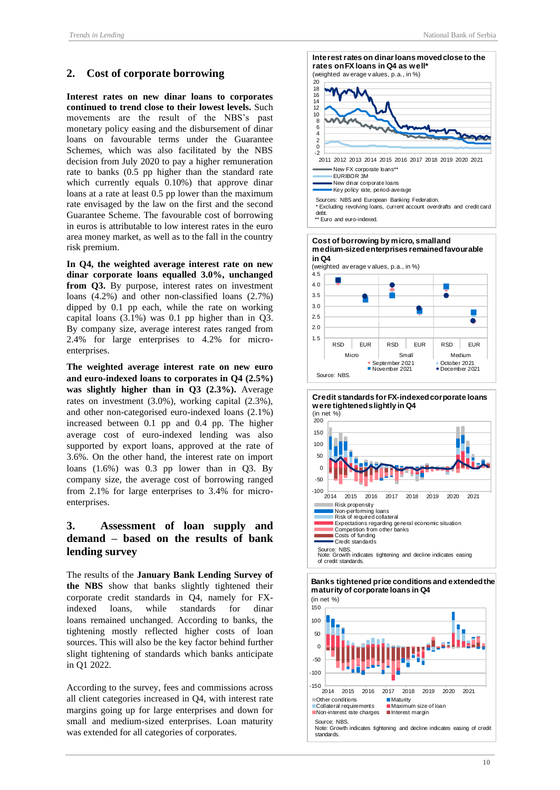## <span id="page-9-0"></span>**2. Cost of corporate borrowing**

**Interest rates on new dinar loans to corporates continued to trend close to their lowest levels.** Such movements are the result of the NBS's past monetary policy easing and the disbursement of dinar loans on favourable terms under the Guarantee Schemes, which was also facilitated by the NBS decision from July 2020 to pay a higher remuneration rate to banks (0.5 pp higher than the standard rate which currently equals 0.10%) that approve dinar loans at a rate at least 0.5 pp lower than the maximum rate envisaged by the law on the first and the second Guarantee Scheme. The favourable cost of borrowing in euros is attributable to low interest rates in the euro area money market, as well as to the fall in the country risk premium.

**In Q4, the weighted average interest rate on new dinar corporate loans equalled 3.0%, unchanged from Q3.** By purpose, interest rates on investment loans (4.2%) and other non-classified loans (2.7%) dipped by 0.1 pp each, while the rate on working capital loans (3.1%) was 0.1 pp higher than in Q3. By company size, average interest rates ranged from 2.4% for large enterprises to 4.2% for microenterprises.

**The weighted average interest rate on new euro and euro-indexed loans to corporates in Q4 (2.5%) was slightly higher than in Q3 (2.3%).** Average rates on investment (3.0%), working capital (2.3%), and other non-categorised euro-indexed loans (2.1%) increased between 0.1 pp and 0.4 pp. The higher average cost of euro-indexed lending was also supported by export loans, approved at the rate of 3.6%. On the other hand, the interest rate on import loans (1.6%) was 0.3 pp lower than in Q3. By company size, the average cost of borrowing ranged from 2.1% for large enterprises to 3.4% for microenterprises.

## <span id="page-9-1"></span>**3. Assessment of loan supply and demand – based on the results of bank lending survey**

The results of the **January Bank Lending Survey of the NBS** show that banks slightly tightened their corporate credit standards in Q4, namely for FXindexed loans, while standards for dinar loans remained unchanged. According to banks, the tightening mostly reflected higher costs of loan sources. This will also be the key factor behind further slight tightening of standards which banks anticipate in Q1 2022.

According to the survey, fees and commissions across all client categories increased in Q4, with interest rate margins going up for large enterprises and down for small and medium-sized enterprises. Loan maturity was extended for all categories of corporates.











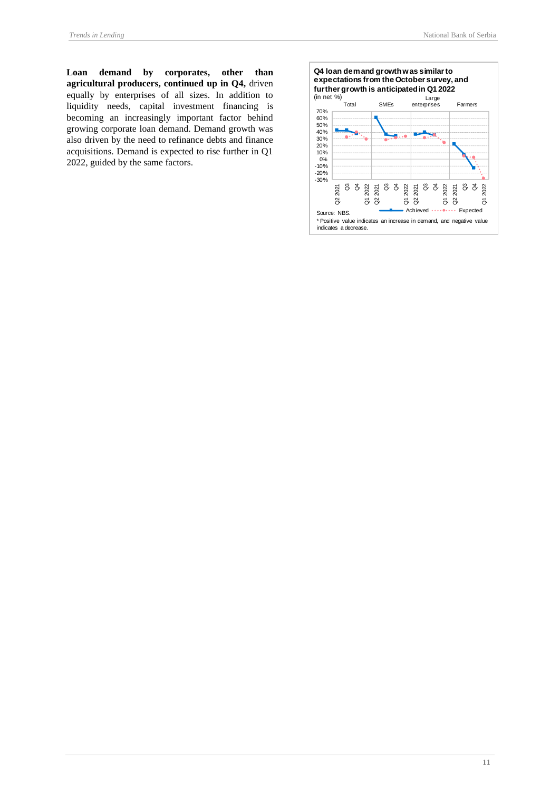**Loan demand by corporates, other than agricultural producers, continued up in Q4,** driven equally by enterprises of all sizes. In addition to liquidity needs, capital investment financing is becoming an increasingly important factor behind growing corporate loan demand. Demand growth was also driven by the need to refinance debts and finance acquisitions. Demand is expected to rise further in Q1 2022, guided by the same factors.

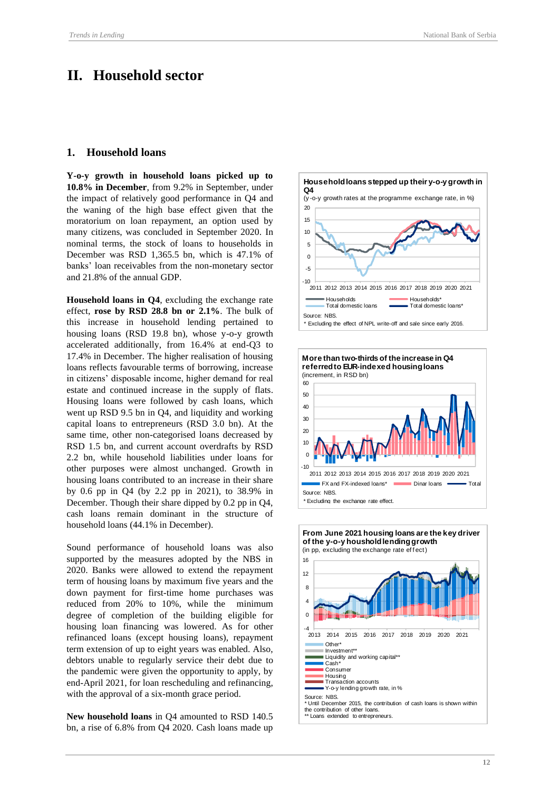## <span id="page-11-0"></span>**II. Household sector**

### <span id="page-11-1"></span>**1. Household loans**

**Y-o-y growth in household loans picked up to 10.8% in December**, from 9.2% in September, under the impact of relatively good performance in Q4 and the waning of the high base effect given that the moratorium on loan repayment, an option used by many citizens, was concluded in September 2020. In nominal terms, the stock of loans to households in December was RSD 1,365.5 bn, which is 47.1% of banks' loan receivables from the non-monetary sector and 21.8% of the annual GDP.

**Household loans in Q4**, excluding the exchange rate effect, **rose by RSD 28.8 bn or 2.1%**. The bulk of this increase in household lending pertained to housing loans (RSD 19.8 bn), whose y-o-y growth accelerated additionally, from 16.4% at end-Q3 to 17.4% in December. The higher realisation of housing loans reflects favourable terms of borrowing, increase in citizens' disposable income, higher demand for real estate and continued increase in the supply of flats. Housing loans were followed by cash loans, which went up RSD 9.5 bn in Q4, and liquidity and working capital loans to entrepreneurs (RSD 3.0 bn). At the same time, other non-categorised loans decreased by RSD 1.5 bn, and current account overdrafts by RSD 2.2 bn, while household liabilities under loans for other purposes were almost unchanged. Growth in housing loans contributed to an increase in their share by 0.6 pp in Q4 (by 2.2 pp in 2021), to 38.9% in December. Though their share dipped by 0.2 pp in Q4, cash loans remain dominant in the structure of household loans (44.1% in December).

Sound performance of household loans was also supported by the measures adopted by the NBS in 2020. Banks were allowed to extend the repayment term of housing loans by maximum five years and the down payment for first-time home purchases was reduced from 20% to 10%, while the minimum degree of completion of the building eligible for housing loan financing was lowered. As for other refinanced loans (except housing loans), repayment term extension of up to eight years was enabled. Also, debtors unable to regularly service their debt due to the pandemic were given the opportunity to apply, by end-April 2021, for loan rescheduling and refinancing, with the approval of a six-month grace period.

**New household loans** in Q4 amounted to RSD 140.5 bn, a rise of 6.8% from Q4 2020. Cash loans made up





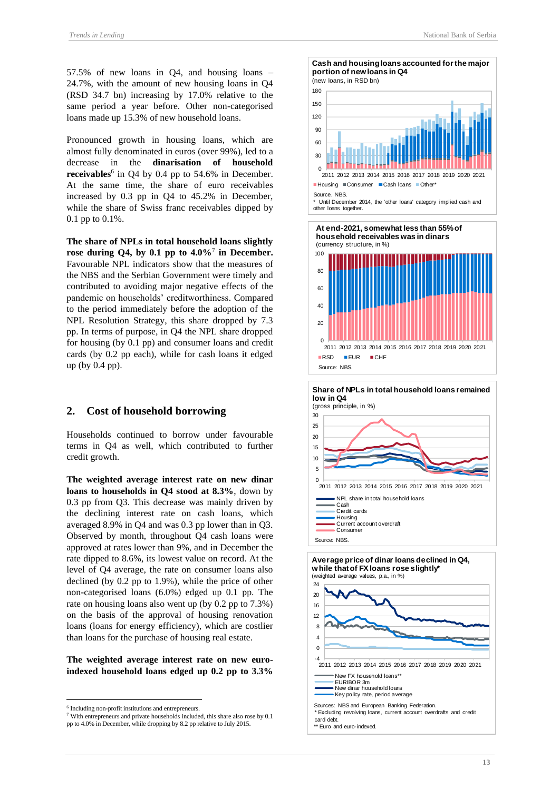57.5% of new loans in Q4, and housing loans – 24.7%, with the amount of new housing loans in Q4 (RSD 34.7 bn) increasing by 17.0% relative to the same period a year before. Other non-categorised loans made up 15.3% of new household loans.

Pronounced growth in housing loans, which are almost fully denominated in euros (over 99%), led to a decrease in the **dinarisation of household receivables**<sup>6</sup> in Q4 by 0.4 pp to 54.6% in December. At the same time, the share of euro receivables increased by 0.3 pp in Q4 to 45.2% in December, while the share of Swiss franc receivables dipped by 0.1 pp to 0.1%.

**The share of NPLs in total household loans slightly rose during Q4, by 0.1 pp to 4.0%**<sup>7</sup> **in December.**  Favourable NPL indicators show that the measures of the NBS and the Serbian Government were timely and contributed to avoiding major negative effects of the pandemic on households' creditworthiness. Compared to the period immediately before the adoption of the NPL Resolution Strategy, this share dropped by 7.3 pp. In terms of purpose, in Q4 the NPL share dropped for housing (by 0.1 pp) and consumer loans and credit cards (by 0.2 pp each), while for cash loans it edged up (by 0.4 pp).

#### <span id="page-12-0"></span>**2. Cost of household borrowing**

Households continued to borrow under favourable terms in Q4 as well, which contributed to further credit growth.

**The weighted average interest rate on new dinar loans to households in Q4 stood at 8.3%**, down by 0.3 pp from Q3. This decrease was mainly driven by the declining interest rate on cash loans, which averaged 8.9% in Q4 and was 0.3 pp lower than in Q3. Observed by month, throughout Q4 cash loans were approved at rates lower than 9%, and in December the rate dipped to 8.6%, its lowest value on record. At the level of Q4 average, the rate on consumer loans also declined (by 0.2 pp to 1.9%), while the price of other non-categorised loans (6.0%) edged up 0.1 pp. The rate on housing loans also went up (by 0.2 pp to 7.3%) on the basis of the approval of housing renovation loans (loans for energy efficiency), which are costlier than loans for the purchase of housing real estate.

**The weighted average interest rate on new euroindexed household loans edged up 0.2 pp to 3.3%** 

30  $60$ 90 120 150 180 **Cash and housing loans accounted for the major portion of new loans in Q4**  (new loans, in RSD bn)







<sup>6</sup> Including non-profit institutions and entrepreneurs.

<sup>7</sup> With entrepreneurs and private households included, this share also rose by 0.1 pp to 4.0% in December, while dropping by 8.2 pp relative to July 2015.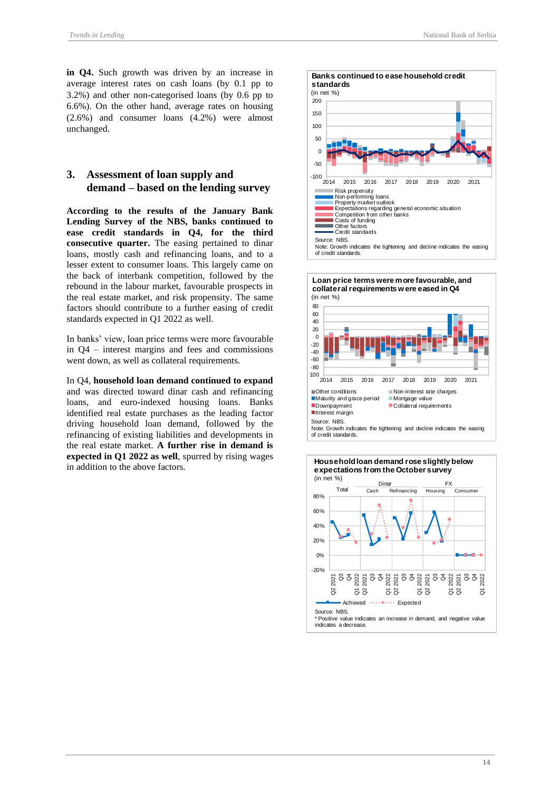**in Q4.** Such growth was driven by an increase in average interest rates on cash loans (by 0.1 pp to 3.2%) and other non-categorised loans (by 0.6 pp to 6.6%). On the other hand, average rates on housing (2.6%) and consumer loans (4.2%) were almost unchanged.

### <span id="page-13-0"></span>**3. Assessment of loan supply and demand – based on the lending survey**

**According to the results of the January Bank Lending Survey of the NBS, banks continued to ease credit standards in Q4, for the third consecutive quarter.** The easing pertained to dinar loans, mostly cash and refinancing loans, and to a lesser extent to consumer loans. This largely came on the back of interbank competition, followed by the rebound in the labour market, favourable prospects in the real estate market, and risk propensity. The same factors should contribute to a further easing of credit standards expected in Q1 2022 as well.

In banks' view, loan price terms were more favourable in Q4 – interest margins and fees and commissions went down, as well as collateral requirements.

In Q4, **household loan demand continued to expand**  and was directed toward dinar cash and refinancing loans, and euro-indexed housing loans. Banks identified real estate purchases as the leading factor driving household loan demand, followed by the refinancing of existing liabilities and developments in the real estate market. **A further rise in demand is expected in Q1 2022 as well**, spurred by rising wages in addition to the above factors.





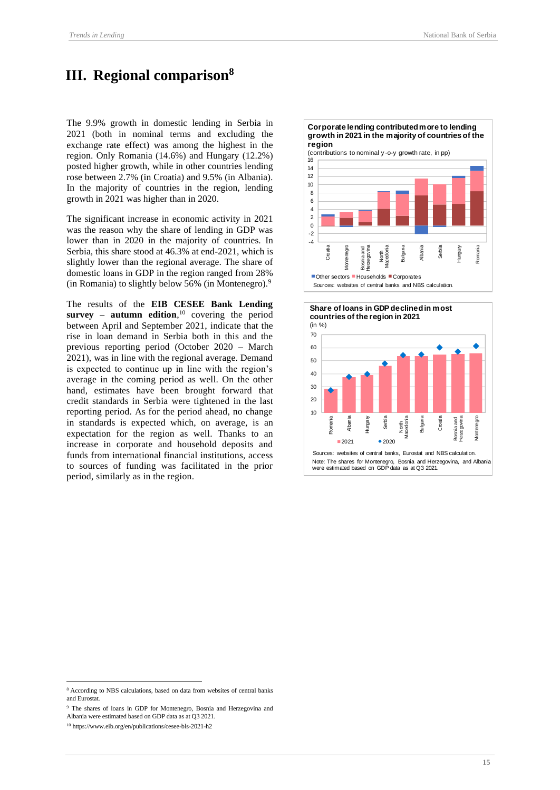## <span id="page-14-0"></span>**III. Regional comparison<sup>8</sup>**

The 9.9% growth in domestic lending in Serbia in 2021 (both in nominal terms and excluding the exchange rate effect) was among the highest in the region. Only Romania (14.6%) and Hungary (12.2%) posted higher growth, while in other countries lending rose between 2.7% (in Croatia) and 9.5% (in Albania). In the majority of countries in the region, lending growth in 2021 was higher than in 2020.

The significant increase in economic activity in 2021 was the reason why the share of lending in GDP was lower than in 2020 in the majority of countries. In Serbia, this share stood at 46.3% at end-2021, which is slightly lower than the regional average. The share of domestic loans in GDP in the region ranged from 28% (in Romania) to slightly below 56% (in Montenegro). $9$ 

The results of the **EIB CESEE Bank Lending survey – autumn edition**, <sup>10</sup> covering the period between April and September 2021, indicate that the rise in loan demand in Serbia both in this and the previous reporting period (October 2020 – March 2021), was in line with the regional average. Demand is expected to continue up in line with the region's average in the coming period as well. On the other hand, estimates have been brought forward that credit standards in Serbia were tightened in the last reporting period. As for the period ahead, no change in standards is expected which, on average, is an expectation for the region as well. Thanks to an increase in corporate and household deposits and funds from international financial institutions, access to sources of funding was facilitated in the prior period, similarly as in the region.

**Corporate lending contributed more to lending growth in 2021 in the majority of countries of the** 





<sup>8</sup> According to NBS calculations, based on data from websites of central banks and Eurostat.

<sup>9</sup> The shares of loans in GDP for Montenegro, Bosnia and Herzegovina and

Albania were estimated based on GDP data as at Q3 2021.

<sup>10</sup> https://www.eib.org/en/publications/cesee-bls-2021-h2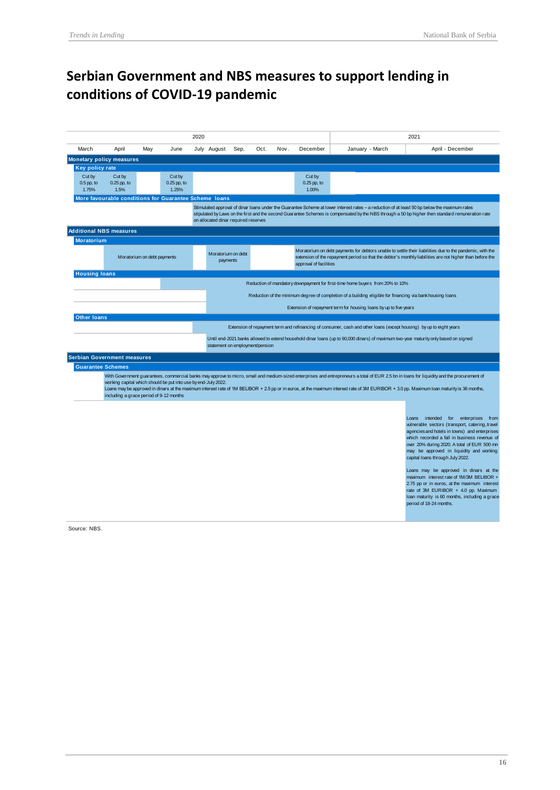# **Serbian Government and NBS measures to support lending in conditions of COVID-19 pandemic**

|                                                                                                                                                                                                                                                                                                                                                                                                                                                                                                       | 2020                                                  |     |                                  |  |                                                                                                                                                                                                                                                                                   |                                                                                                                                                                                                                                                                                                                                            |      |      |                                  | 2021                                                                                                                |                                                                                                                                                                                                                                                                                                                                                                                                                                                                                                                                                                                  |  |
|-------------------------------------------------------------------------------------------------------------------------------------------------------------------------------------------------------------------------------------------------------------------------------------------------------------------------------------------------------------------------------------------------------------------------------------------------------------------------------------------------------|-------------------------------------------------------|-----|----------------------------------|--|-----------------------------------------------------------------------------------------------------------------------------------------------------------------------------------------------------------------------------------------------------------------------------------|--------------------------------------------------------------------------------------------------------------------------------------------------------------------------------------------------------------------------------------------------------------------------------------------------------------------------------------------|------|------|----------------------------------|---------------------------------------------------------------------------------------------------------------------|----------------------------------------------------------------------------------------------------------------------------------------------------------------------------------------------------------------------------------------------------------------------------------------------------------------------------------------------------------------------------------------------------------------------------------------------------------------------------------------------------------------------------------------------------------------------------------|--|
| March                                                                                                                                                                                                                                                                                                                                                                                                                                                                                                 | April                                                 | May | June                             |  | July August                                                                                                                                                                                                                                                                       | Sep.                                                                                                                                                                                                                                                                                                                                       | Oct. | Nov. | December                         | January - March                                                                                                     | April - December                                                                                                                                                                                                                                                                                                                                                                                                                                                                                                                                                                 |  |
|                                                                                                                                                                                                                                                                                                                                                                                                                                                                                                       | <b>Monetary policy measures</b>                       |     |                                  |  |                                                                                                                                                                                                                                                                                   |                                                                                                                                                                                                                                                                                                                                            |      |      |                                  |                                                                                                                     |                                                                                                                                                                                                                                                                                                                                                                                                                                                                                                                                                                                  |  |
| Key policy rate                                                                                                                                                                                                                                                                                                                                                                                                                                                                                       |                                                       |     |                                  |  |                                                                                                                                                                                                                                                                                   |                                                                                                                                                                                                                                                                                                                                            |      |      |                                  |                                                                                                                     |                                                                                                                                                                                                                                                                                                                                                                                                                                                                                                                                                                                  |  |
| Cut by<br>$0.5$ pp, to<br>1.75%                                                                                                                                                                                                                                                                                                                                                                                                                                                                       | Cut by<br>$0.25$ pp, to<br>1.5%                       |     | Cut by<br>$0.25$ pp, to<br>1.25% |  |                                                                                                                                                                                                                                                                                   |                                                                                                                                                                                                                                                                                                                                            |      |      | Cut by<br>$0.25$ pp, to<br>1.00% |                                                                                                                     |                                                                                                                                                                                                                                                                                                                                                                                                                                                                                                                                                                                  |  |
|                                                                                                                                                                                                                                                                                                                                                                                                                                                                                                       | More favourable conditions for Guarantee Scheme loans |     |                                  |  |                                                                                                                                                                                                                                                                                   |                                                                                                                                                                                                                                                                                                                                            |      |      |                                  |                                                                                                                     |                                                                                                                                                                                                                                                                                                                                                                                                                                                                                                                                                                                  |  |
|                                                                                                                                                                                                                                                                                                                                                                                                                                                                                                       |                                                       |     |                                  |  |                                                                                                                                                                                                                                                                                   | Stimulated approval of dinar loans under the Guarantee Scheme at lower interest rates - a reduction of at least 50 bp below the maximum rates<br>stipulated by Laws on the first and the second Guarantee Schemes is compensated by the NBS through a 50 bp higher then standard remuneration rate<br>on allocated dinar required reserves |      |      |                                  |                                                                                                                     |                                                                                                                                                                                                                                                                                                                                                                                                                                                                                                                                                                                  |  |
|                                                                                                                                                                                                                                                                                                                                                                                                                                                                                                       | <b>Additional NBS measures</b>                        |     |                                  |  |                                                                                                                                                                                                                                                                                   |                                                                                                                                                                                                                                                                                                                                            |      |      |                                  |                                                                                                                     |                                                                                                                                                                                                                                                                                                                                                                                                                                                                                                                                                                                  |  |
| <b>Moratorium</b>                                                                                                                                                                                                                                                                                                                                                                                                                                                                                     |                                                       |     |                                  |  |                                                                                                                                                                                                                                                                                   |                                                                                                                                                                                                                                                                                                                                            |      |      |                                  |                                                                                                                     |                                                                                                                                                                                                                                                                                                                                                                                                                                                                                                                                                                                  |  |
|                                                                                                                                                                                                                                                                                                                                                                                                                                                                                                       | Moratorium on debt payments                           |     |                                  |  | Moratorium on debt payments for debtors unable to settle their liabilities due to the pandemic, with the<br>Moratorium on debt<br>extension of the repayment period so that the debtor's monthly liabilities are not higher than before the<br>payments<br>approval of facilities |                                                                                                                                                                                                                                                                                                                                            |      |      |                                  |                                                                                                                     |                                                                                                                                                                                                                                                                                                                                                                                                                                                                                                                                                                                  |  |
| <b>Housing loans</b>                                                                                                                                                                                                                                                                                                                                                                                                                                                                                  |                                                       |     |                                  |  |                                                                                                                                                                                                                                                                                   |                                                                                                                                                                                                                                                                                                                                            |      |      |                                  |                                                                                                                     |                                                                                                                                                                                                                                                                                                                                                                                                                                                                                                                                                                                  |  |
|                                                                                                                                                                                                                                                                                                                                                                                                                                                                                                       |                                                       |     |                                  |  |                                                                                                                                                                                                                                                                                   |                                                                                                                                                                                                                                                                                                                                            |      |      |                                  | Reduction of mandatory downpayment for first-time home buyers from 20% to 10%                                       |                                                                                                                                                                                                                                                                                                                                                                                                                                                                                                                                                                                  |  |
|                                                                                                                                                                                                                                                                                                                                                                                                                                                                                                       |                                                       |     |                                  |  |                                                                                                                                                                                                                                                                                   |                                                                                                                                                                                                                                                                                                                                            |      |      |                                  | Reduction of the minimum degree of completion of a building eligible for financing via bank housing loans           |                                                                                                                                                                                                                                                                                                                                                                                                                                                                                                                                                                                  |  |
|                                                                                                                                                                                                                                                                                                                                                                                                                                                                                                       |                                                       |     |                                  |  |                                                                                                                                                                                                                                                                                   |                                                                                                                                                                                                                                                                                                                                            |      |      |                                  | Extension of repayment term for housing loans by up to five years                                                   |                                                                                                                                                                                                                                                                                                                                                                                                                                                                                                                                                                                  |  |
| <b>Other loans</b>                                                                                                                                                                                                                                                                                                                                                                                                                                                                                    |                                                       |     |                                  |  |                                                                                                                                                                                                                                                                                   |                                                                                                                                                                                                                                                                                                                                            |      |      |                                  |                                                                                                                     |                                                                                                                                                                                                                                                                                                                                                                                                                                                                                                                                                                                  |  |
|                                                                                                                                                                                                                                                                                                                                                                                                                                                                                                       |                                                       |     |                                  |  |                                                                                                                                                                                                                                                                                   |                                                                                                                                                                                                                                                                                                                                            |      |      |                                  | Extension of repayment term and refinancing of consumer, cash and other loans (except housing) by up to eight years |                                                                                                                                                                                                                                                                                                                                                                                                                                                                                                                                                                                  |  |
|                                                                                                                                                                                                                                                                                                                                                                                                                                                                                                       |                                                       |     |                                  |  |                                                                                                                                                                                                                                                                                   |                                                                                                                                                                                                                                                                                                                                            |      |      |                                  |                                                                                                                     | Until end-2021 banks allowed to extend household dinar loans (up to 90,000 dinars) of maximum two-year maturity only based on signed                                                                                                                                                                                                                                                                                                                                                                                                                                             |  |
|                                                                                                                                                                                                                                                                                                                                                                                                                                                                                                       |                                                       |     |                                  |  | statement on employment/pension                                                                                                                                                                                                                                                   |                                                                                                                                                                                                                                                                                                                                            |      |      |                                  |                                                                                                                     |                                                                                                                                                                                                                                                                                                                                                                                                                                                                                                                                                                                  |  |
|                                                                                                                                                                                                                                                                                                                                                                                                                                                                                                       | Serbian Government measures                           |     |                                  |  |                                                                                                                                                                                                                                                                                   |                                                                                                                                                                                                                                                                                                                                            |      |      |                                  |                                                                                                                     |                                                                                                                                                                                                                                                                                                                                                                                                                                                                                                                                                                                  |  |
| <b>Guarantee Schemes</b>                                                                                                                                                                                                                                                                                                                                                                                                                                                                              |                                                       |     |                                  |  |                                                                                                                                                                                                                                                                                   |                                                                                                                                                                                                                                                                                                                                            |      |      |                                  |                                                                                                                     |                                                                                                                                                                                                                                                                                                                                                                                                                                                                                                                                                                                  |  |
| With Government guarantees, commercial banks may approve to micro, small and medium-sized enterprises and entrepreneurs a total of EUR 2.5 bn in loans for liquidity and the procurement of<br>working capital which should be put into use by end-July 2022.<br>Loans may be approved in dinars at the maximum interest rate of 1M BELIBOR + 2.5 pp or in euros, at the maximum interest rate of 3M EURIBOR + 3.0 pp. Maximum loan maturity is 36 months,<br>including a grace period of 9-12 months |                                                       |     |                                  |  |                                                                                                                                                                                                                                                                                   |                                                                                                                                                                                                                                                                                                                                            |      |      |                                  |                                                                                                                     |                                                                                                                                                                                                                                                                                                                                                                                                                                                                                                                                                                                  |  |
|                                                                                                                                                                                                                                                                                                                                                                                                                                                                                                       |                                                       |     |                                  |  |                                                                                                                                                                                                                                                                                   |                                                                                                                                                                                                                                                                                                                                            |      |      |                                  |                                                                                                                     | Loans intended for enterprises from<br>vulnerable sectors (transport, catering, travel<br>agencies and hotels in towns) and enterprises<br>which recorded a fall in business revenue of<br>over 20% during 2020. A total of EUR 500 mn<br>may be approved in liquidity and working<br>capital loans through July 2022.<br>Loans may be approved in dinars at the<br>maximum interest rate of 1M/3M BELIBOR +<br>2.75 pp or in euros, at the maximum interest<br>rate of 3M EURIBOR + 4.0 pp. Maximum<br>loan maturity is 60 months, including a grace<br>period of 18-24 months. |  |